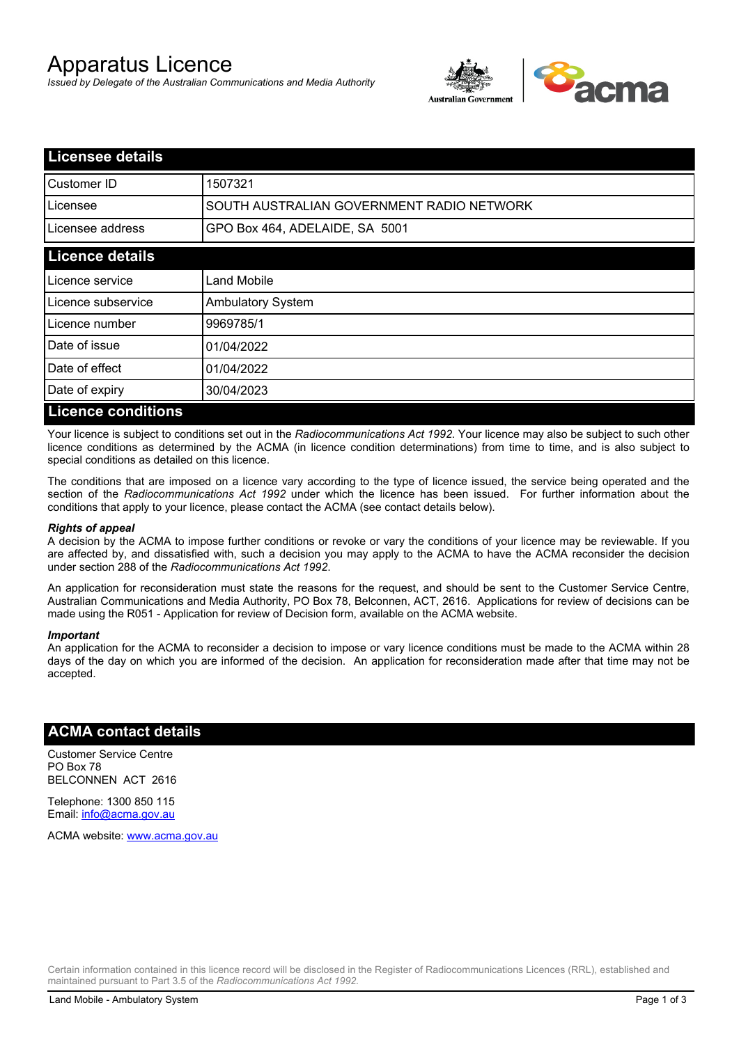# Apparatus Licence

*Issued by Delegate of the Australian Communications and Media Authority*



| <b>Licensee details</b>   |                                           |
|---------------------------|-------------------------------------------|
| <b>Customer ID</b>        | 1507321                                   |
| Licensee                  | SOUTH AUSTRALIAN GOVERNMENT RADIO NETWORK |
| Licensee address          | GPO Box 464, ADELAIDE, SA 5001            |
| <b>Licence details</b>    |                                           |
| Licence service           | Land Mobile                               |
| Licence subservice        | <b>Ambulatory System</b>                  |
| Licence number            | 9969785/1                                 |
| Date of issue             | 01/04/2022                                |
| Date of effect            | 01/04/2022                                |
| Date of expiry            | 30/04/2023                                |
| <b>Licence conditions</b> |                                           |

Your licence is subject to conditions set out in the *Radiocommunications Act 1992*. Your licence may also be subject to such other licence conditions as determined by the ACMA (in licence condition determinations) from time to time, and is also subject to special conditions as detailed on this licence.

The conditions that are imposed on a licence vary according to the type of licence issued, the service being operated and the section of the *Radiocommunications Act 1992* under which the licence has been issued. For further information about the conditions that apply to your licence, please contact the ACMA (see contact details below).

#### *Rights of appeal*

A decision by the ACMA to impose further conditions or revoke or vary the conditions of your licence may be reviewable. If you are affected by, and dissatisfied with, such a decision you may apply to the ACMA to have the ACMA reconsider the decision under section 288 of the *Radiocommunications Act 1992*.

An application for reconsideration must state the reasons for the request, and should be sent to the Customer Service Centre, Australian Communications and Media Authority, PO Box 78, Belconnen, ACT, 2616. Applications for review of decisions can be made using the R051 - Application for review of Decision form, available on the ACMA website.

#### *Important*

An application for the ACMA to reconsider a decision to impose or vary licence conditions must be made to the ACMA within 28 days of the day on which you are informed of the decision. An application for reconsideration made after that time may not be accepted.

#### **ACMA contact details**

Customer Service Centre PO Box 78 BELCONNEN ACT 2616

Telephone: 1300 850 115 Email: info@acma.gov.au

ACMA website: www.acma.gov.au

Certain information contained in this licence record will be disclosed in the Register of Radiocommunications Licences (RRL), established and maintained pursuant to Part 3.5 of the *Radiocommunications Act 1992.*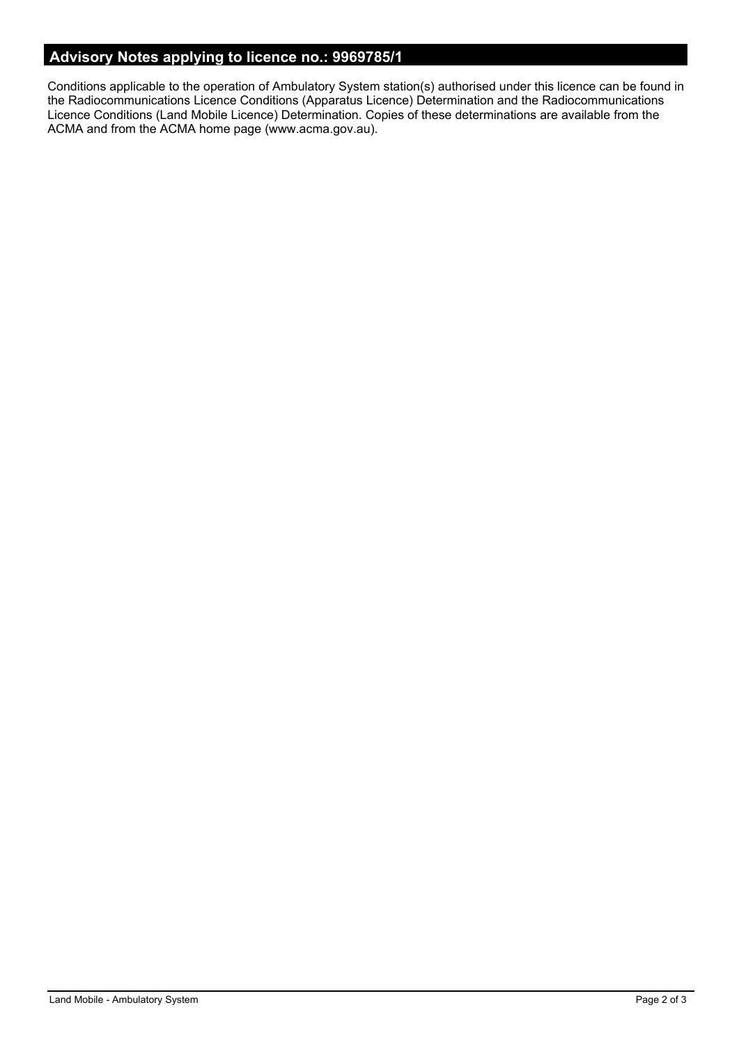## **Advisory Notes applying to licence no.: 9969785/1**

Conditions applicable to the operation of Ambulatory System station(s) authorised under this licence can be found in the Radiocommunications Licence Conditions (Apparatus Licence) Determination and the Radiocommunications Licence Conditions (Land Mobile Licence) Determination. Copies of these determinations are available from the ACMA and from the ACMA home page (www.acma.gov.au).